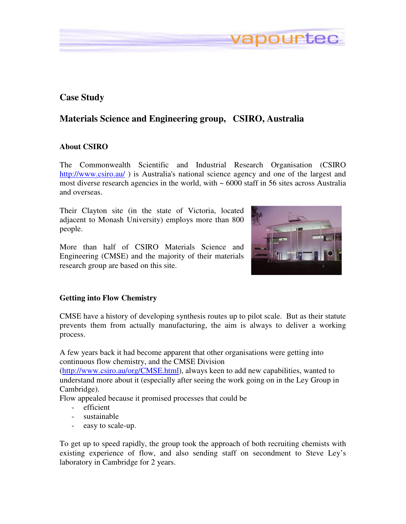## **Case Study**

# **Materials Science and Engineering group, CSIRO, Australia**

#### **About CSIRO**

The Commonwealth Scientific and Industrial Research Organisation (CSIRO http://www.csiro.au/) is Australia's national science agency and one of the largest and most diverse research agencies in the world, with  $\sim 6000$  staff in 56 sites across Australia and overseas.

Their Clayton site (in the state of Victoria, located adjacent to Monash University) employs more than 800 people.

More than half of CSIRO Materials Science and Engineering (CMSE) and the majority of their materials research group are based on this site.



apourtec

#### **Getting into Flow Chemistry**

CMSE have a history of developing synthesis routes up to pilot scale. But as their statute prevents them from actually manufacturing, the aim is always to deliver a working process.

A few years back it had become apparent that other organisations were getting into continuous flow chemistry, and the CMSE Division

(http://www.csiro.au/org/CMSE.html), always keen to add new capabilities, wanted to understand more about it (especially after seeing the work going on in the Ley Group in Cambridge).

Flow appealed because it promised processes that could be

- efficient
- sustainable
- easy to scale-up.

To get up to speed rapidly, the group took the approach of both recruiting chemists with existing experience of flow, and also sending staff on secondment to Steve Ley's laboratory in Cambridge for 2 years.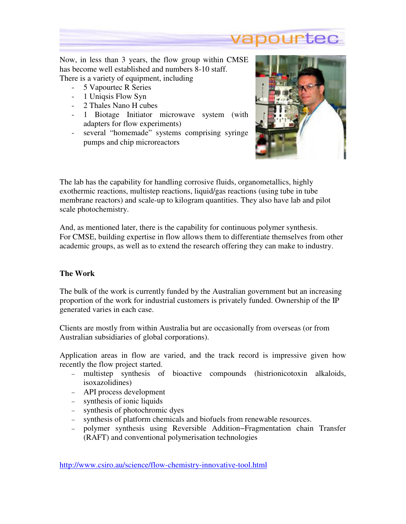

Now, in less than 3 years, the flow group within CMSE has become well established and numbers 8-10 staff. There is a variety of equipment, including

- 5 Vapourtec R Series - 1 Uniqsis Flow Syn
- 2 Thales Nano H cubes
- 
- 1 Biotage Initiator microwave system (with adapters for flow experiments)
- several "homemade" systems comprising syringe pumps and chip microreactors



The lab has the capability for handling corrosive fluids, organometallics, highly exothermic reactions, multistep reactions, liquid/gas reactions (using tube in tube membrane reactors) and scale-up to kilogram quantities. They also have lab and pilot scale photochemistry.

And, as mentioned later, there is the capability for continuous polymer synthesis. For CMSE, building expertise in flow allows them to differentiate themselves from other academic groups, as well as to extend the research offering they can make to industry.

### **The Work**

The bulk of the work is currently funded by the Australian government but an increasing proportion of the work for industrial customers is privately funded. Ownership of the IP generated varies in each case.

Clients are mostly from within Australia but are occasionally from overseas (or from Australian subsidiaries of global corporations).

Application areas in flow are varied, and the track record is impressive given how recently the flow project started.

- − multistep synthesis of bioactive compounds (histrionicotoxin alkaloids, isoxazolidines)
- − API process development
- − synthesis of ionic liquids
- − synthesis of photochromic dyes
- − synthesis of platform chemicals and biofuels from renewable resources.
- − polymer synthesis using Reversible Addition−Fragmentation chain Transfer (RAFT) and conventional polymerisation technologies

http://www.csiro.au/science/flow-chemistry-innovative-tool.html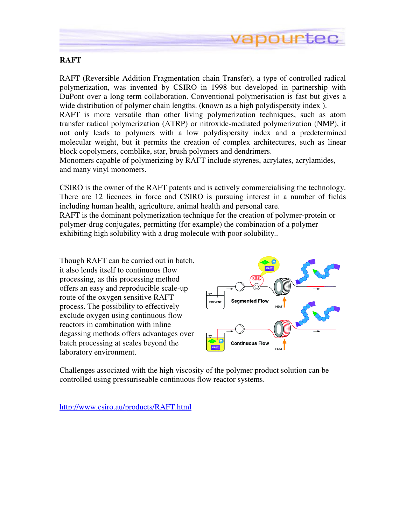

### **RAFT**

RAFT (Reversible Addition Fragmentation chain Transfer), a type of controlled radical polymerization, was invented by CSIRO in 1998 but developed in partnership with DuPont over a long term collaboration. Conventional polymerisation is fast but gives a wide distribution of polymer chain lengths. (known as a high polydispersity index ).

RAFT is more versatile than other living polymerization techniques, such as atom transfer radical polymerization (ATRP) or nitroxide-mediated polymerization (NMP), it not only leads to polymers with a low polydispersity index and a predetermined molecular weight, but it permits the creation of complex architectures, such as linear block copolymers, comblike, star, brush polymers and dendrimers.

Monomers capable of polymerizing by RAFT include styrenes, acrylates, acrylamides, and many vinyl monomers.

CSIRO is the owner of the RAFT patents and is actively commercialising the technology. There are 12 licences in force and CSIRO is pursuing interest in a number of fields including human health, agriculture, animal health and personal care.

RAFT is the dominant polymerization technique for the creation of polymer-protein or polymer-drug conjugates, permitting (for example) the combination of a polymer exhibiting high solubility with a drug molecule with poor solubility..

Though RAFT can be carried out in batch, it also lends itself to continuous flow processing, as this processing method offers an easy and reproducible scale-up route of the oxygen sensitive RAFT process. The possibility to effectively exclude oxygen using continuous flow reactors in combination with inline degassing methods offers advantages over batch processing at scales beyond the laboratory environment.



Challenges associated with the high viscosity of the polymer product solution can be controlled using pressuriseable continuous flow reactor systems.

http://www.csiro.au/products/RAFT.html